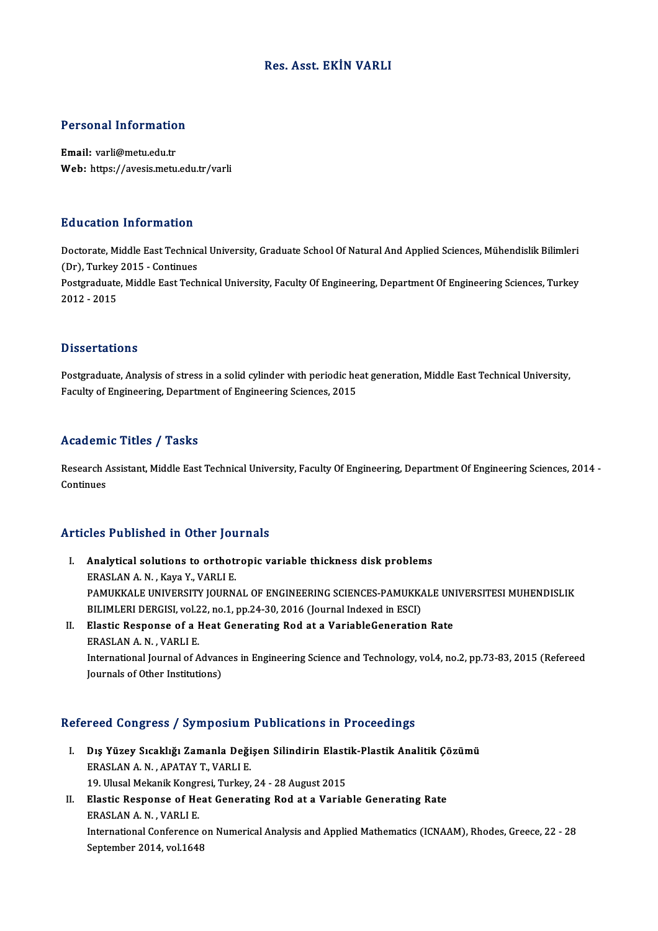#### Res. Asst. EKİN VARLI

# Personal Information

Personal Informatio<br>Email: varli@metu.edu.tr<br>Web: https://avesis.metu Email: varli@metu.edu.tr<br>Web: https://avesis.metu.edu.tr/varli

#### Education Information

Doctorate, Middle East Technical University, Graduate School Of Natural And Applied Sciences, Mühendislik Bilimleri (Dr), Turkey 2015 - Continues Doctorate, Middle East Technical University, Graduate School Of Natural And Applied Sciences, Mühendislik Bilimleri<br>(Dr), Turkey 2015 - Continues<br>Postgraduate, Middle East Technical University, Faculty Of Engineering, Depa (Dr), Turkey<br>Postgraduate<br>2012 - 2015 2012 - 2015<br>Dissertations

Postgraduate, Analysis of stress in a solid cylinder with periodic heat generation, Middle East Technical University, Faculty of Engineering, Department of Engineering Sciences, 2015

#### Academic Titles / Tasks

Academic Titles / Tasks<br>Research Assistant, Middle East Technical University, Faculty Of Engineering, Department Of Engineering Sciences, 2014 -<br>Continues Research A<br>Continues

### Articles Published in Other Journals

- rticles Published in Other Journals<br>I. Analytical solutions to orthotropic variable thickness disk problems<br>FRASLAN A.N. Kawa Y. VARLLE ERASLAN A. N., Kaya Y., VARLI E.<br>Analytical solutions to orthoti<br>ERASLAN A. N., Kaya Y., VARLI E. Analytical solutions to orthotropic variable thickness disk problems<br>ERASLAN A. N. , Kaya Y., VARLI E.<br>PAMUKKALE UNIVERSITY JOURNAL OF ENGINEERING SCIENCES-PAMUKKALE UNIVERSITESI MUHENDISLIK<br>PILIMI EPLDERCISL VOL22, no.1, ERASLAN A. N. , Kaya Y., VARLI E.<br>PAMUKKALE UNIVERSITY JOURNAL OF ENGINEERING SCIENCES-PAMUKK.<br>BILIMLERI DERGISI, vol.22, no.1, pp.24-30, 2016 (Journal Indexed in ESCI)<br>Flastis Besponse of a Heat Concrating Pod at a Vorjab PAMUKKALE UNIVERSITY JOURNAL OF ENGINEERING SCIENCES-PAMUKKALE UN<br>BILIMLERI DERGISI, vol.22, no.1, pp.24-30, 2016 (Journal Indexed in ESCI)<br>II. Elastic Response of a Heat Generating Rod at a VariableGeneration Rate<br>ERASLAN
- BILIMLERI DERGISI, vol.22, no.1, pp.24-30, 2016 (Journal Indexed in ESCI)<br>II. Elastic Response of a Heat Generating Rod at a VariableGeneration Rate<br>ERASLAN A. N., VARLI E. Elastic Response of a Heat Generating Rod at a VariableGeneration Rate<br>ERASLAN A. N. , VARLI E.<br>International Journal of Advances in Engineering Science and Technology, vol.4, no.2, pp.73-83, 2015 (Refereed ERASLAN A. N. , VARLI E.<br>International Journal of Advan<br>Journals of Other Institutions)

# <sub>Journais of Other Institutions)</sub><br>Refereed Congress / Symposium Publications in Proceedings

- efereed Congress / Symposium Publications in Proceedings<br>I. Dış Yüzey Sıcaklığı Zamanla Değişen Silindirin Elastik-Plastik Analitik Çözümü<br>FRASLAN A.N. ARATAV T. VARLLE I. Dış Yüzey Sıcaklığı Zamanla Değişen Silindirin Elastik-Plastik Analitik Çözümü<br>ERASLAN A.N., APATAY T., VARLI E. Dış Yüzey Sıcaklığı Zamanla Değişen Silindirin Elasti<br>ERASLAN A. N. , APATAY T., VARLI E.<br>19. Ulusal Mekanik Kongresi, Turkey, 24 - 28 August 2015<br>Elastis Besponse of Heat Concrating Bod et a Verial
- II. Elastic Response of Heat Generating Rod at a Variable Generating Rate ERASLAN A. N., VARLI E. 19. Ulusal Mekanik Kongr<br>Elastic Response of He<br>ERASLAN A. N. , VARLI E.<br>International Conference Elastic Response of Heat Generating Rod at a Variable Generating Rate<br>ERASLAN A. N. , VARLI E.<br>International Conference on Numerical Analysis and Applied Mathematics (ICNAAM), Rhodes, Greece, 22 - 28<br>Sentember 2014, vol.16 ERASLAN A. N. , VARLI E.<br>International Conference o:<br>September 2014, vol.1648